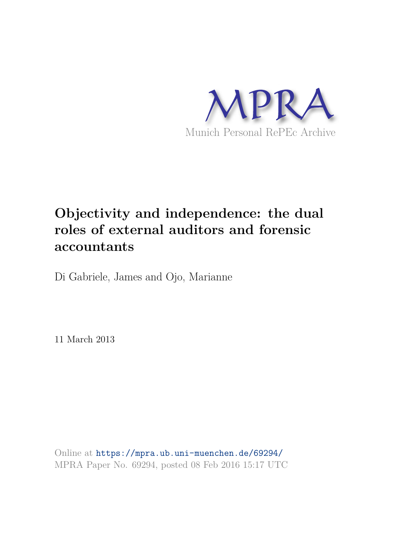

# **Objectivity and independence: the dual roles of external auditors and forensic accountants**

Di Gabriele, James and Ojo, Marianne

11 March 2013

Online at https://mpra.ub.uni-muenchen.de/69294/ MPRA Paper No. 69294, posted 08 Feb 2016 15:17 UTC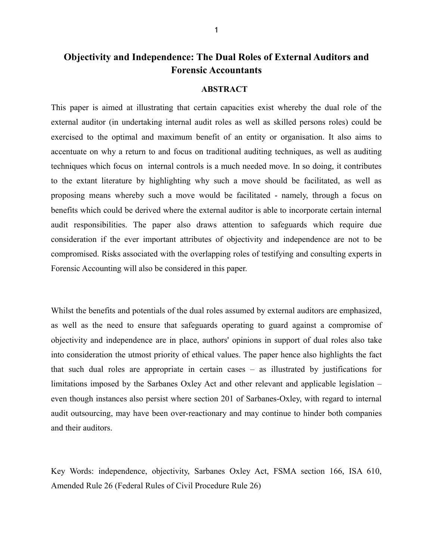### **Objectivity and Independence: The Dual Roles of External Auditors and Forensic Accountants**

#### **ABSTRACT**

This paper is aimed at illustrating that certain capacities exist whereby the dual role of the external auditor (in undertaking internal audit roles as well as skilled persons roles) could be exercised to the optimal and maximum benefit of an entity or organisation. It also aims to accentuate on why a return to and focus on traditional auditing techniques, as well as auditing techniques which focus on internal controls is a much needed move. In so doing, it contributes to the extant literature by highlighting why such a move should be facilitated, as well as proposing means whereby such a move would be facilitated - namely, through a focus on benefits which could be derived where the external auditor is able to incorporate certain internal audit responsibilities. The paper also draws attention to safeguards which require due consideration if the ever important attributes of objectivity and independence are not to be compromised. Risks associated with the overlapping roles of testifying and consulting experts in Forensic Accounting will also be considered in this paper.

Whilst the benefits and potentials of the dual roles assumed by external auditors are emphasized, as well as the need to ensure that safeguards operating to guard against a compromise of objectivity and independence are in place, authors' opinions in support of dual roles also take into consideration the utmost priority of ethical values. The paper hence also highlights the fact that such dual roles are appropriate in certain cases – as illustrated by justifications for limitations imposed by the Sarbanes Oxley Act and other relevant and applicable legislation – even though instances also persist where section 201 of Sarbanes-Oxley, with regard to internal audit outsourcing, may have been over-reactionary and may continue to hinder both companies and their auditors.

Key Words: independence, objectivity, Sarbanes Oxley Act, FSMA section 166, ISA 610, Amended Rule 26 (Federal Rules of Civil Procedure Rule 26)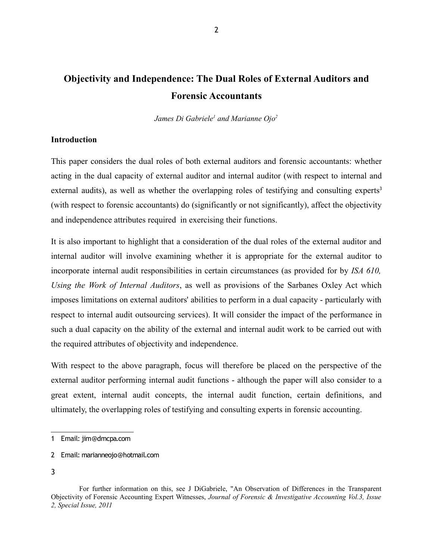# **Objectivity and Independence: The Dual Roles of External Auditors and Forensic Accountants**

*James Di Gabriele<sup>1</sup> and Marianne Ojo<sup>2</sup>*

#### **Introduction**

This paper considers the dual roles of both external auditors and forensic accountants: whether acting in the dual capacity of external auditor and internal auditor (with respect to internal and external audits), as well as whether the overlapping roles of testifying and consulting experts<sup>3</sup> (with respect to forensic accountants) do (significantly or not significantly), affect the objectivity and independence attributes required in exercising their functions.

It is also important to highlight that a consideration of the dual roles of the external auditor and internal auditor will involve examining whether it is appropriate for the external auditor to incorporate internal audit responsibilities in certain circumstances (as provided for by *ISA 610, Using the Work of Internal Auditors*, as well as provisions of the Sarbanes Oxley Act which imposes limitations on external auditors' abilities to perform in a dual capacity - particularly with respect to internal audit outsourcing services). It will consider the impact of the performance in such a dual capacity on the ability of the external and internal audit work to be carried out with the required attributes of objectivity and independence.

With respect to the above paragraph, focus will therefore be placed on the perspective of the external auditor performing internal audit functions - although the paper will also consider to a great extent, internal audit concepts, the internal audit function, certain definitions, and ultimately, the overlapping roles of testifying and consulting experts in forensic accounting.

<sup>1</sup> Email: jim@dmcpa.com

<sup>2</sup> Email: marianneojo@hotmail.com

<sup>3</sup>

For further information on this, see J DiGabriele, "An Observation of Differences in the Transparent Objectivity of Forensic Accounting Expert Witnesses, *Journal of Forensic & Investigative Accounting Vol.3, Issue 2, Special Issue, 2011*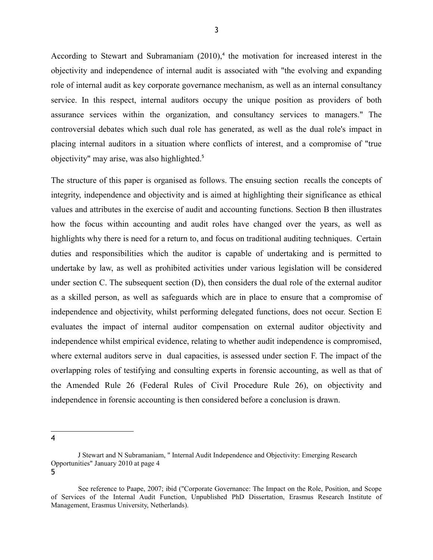According to Stewart and Subramaniam  $(2010)$ ,<sup>4</sup> the motivation for increased interest in the objectivity and independence of internal audit is associated with "the evolving and expanding role of internal audit as key corporate governance mechanism, as well as an internal consultancy service. In this respect, internal auditors occupy the unique position as providers of both assurance services within the organization, and consultancy services to managers." The controversial debates which such dual role has generated, as well as the dual role's impact in placing internal auditors in a situation where conflicts of interest, and a compromise of "true objectivity" may arise, was also highlighted.<sup>5</sup>

The structure of this paper is organised as follows. The ensuing section recalls the concepts of integrity, independence and objectivity and is aimed at highlighting their significance as ethical values and attributes in the exercise of audit and accounting functions. Section B then illustrates how the focus within accounting and audit roles have changed over the years, as well as highlights why there is need for a return to, and focus on traditional auditing techniques. Certain duties and responsibilities which the auditor is capable of undertaking and is permitted to undertake by law, as well as prohibited activities under various legislation will be considered under section C. The subsequent section (D), then considers the dual role of the external auditor as a skilled person, as well as safeguards which are in place to ensure that a compromise of independence and objectivity, whilst performing delegated functions, does not occur. Section E evaluates the impact of internal auditor compensation on external auditor objectivity and independence whilst empirical evidence, relating to whether audit independence is compromised, where external auditors serve in dual capacities, is assessed under section F. The impact of the overlapping roles of testifying and consulting experts in forensic accounting, as well as that of the Amended Rule 26 (Federal Rules of Civil Procedure Rule 26), on objectivity and independence in forensic accounting is then considered before a conclusion is drawn.

J Stewart and N Subramaniam, " Internal Audit Independence and Objectivity: Emerging Research Opportunities" January 2010 at page 4 5

See reference to Paape, 2007; ibid ("Corporate Governance: The Impact on the Role, Position, and Scope of Services of the Internal Audit Function, Unpublished PhD Dissertation, Erasmus Research Institute of Management, Erasmus University, Netherlands).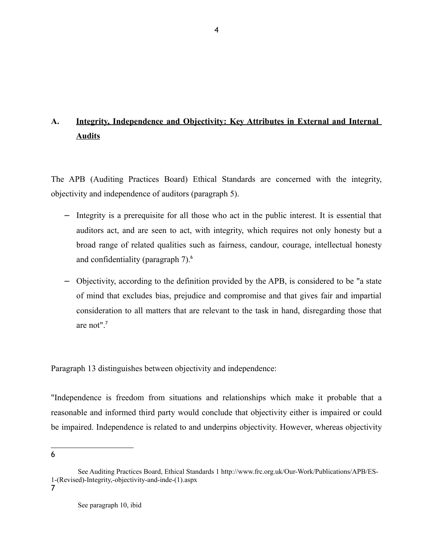# **A. Integrity, Independence and Objectivity: Key Attributes in External and Internal Audits**

The APB (Auditing Practices Board) Ethical Standards are concerned with the integrity, objectivity and independence of auditors (paragraph 5).

- − Integrity is a prerequisite for all those who act in the public interest. It is essential that auditors act, and are seen to act, with integrity, which requires not only honesty but a broad range of related qualities such as fairness, candour, courage, intellectual honesty and confidentiality (paragraph 7).<sup>6</sup>
- − Objectivity, according to the definition provided by the APB, is considered to be "a state of mind that excludes bias, prejudice and compromise and that gives fair and impartial consideration to all matters that are relevant to the task in hand, disregarding those that are not" $<sup>7</sup>$ </sup>

Paragraph 13 distinguishes between objectivity and independence:

"Independence is freedom from situations and relationships which make it probable that a reasonable and informed third party would conclude that objectivity either is impaired or could be impaired. Independence is related to and underpins objectivity. However, whereas objectivity

See Auditing Practices Board, Ethical Standards 1 http://www.frc.org.uk/Our-Work/Publications/APB/ES-1-(Revised)-Integrity,-objectivity-and-inde-(1).aspx 7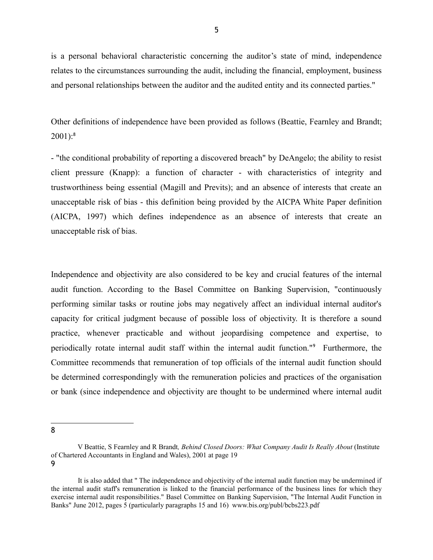is a personal behavioral characteristic concerning the auditor's state of mind, independence relates to the circumstances surrounding the audit, including the financial, employment, business and personal relationships between the auditor and the audited entity and its connected parties."

Other definitions of independence have been provided as follows (Beattie, Fearnley and Brandt;  $2001$ :<sup>8</sup>

- "the conditional probability of reporting a discovered breach" by DeAngelo; the ability to resist client pressure (Knapp): a function of character - with characteristics of integrity and trustworthiness being essential (Magill and Previts); and an absence of interests that create an unacceptable risk of bias - this definition being provided by the AICPA White Paper definition (AICPA, 1997) which defines independence as an absence of interests that create an unacceptable risk of bias.

Independence and objectivity are also considered to be key and crucial features of the internal audit function. According to the Basel Committee on Banking Supervision, "continuously performing similar tasks or routine jobs may negatively affect an individual internal auditor's capacity for critical judgment because of possible loss of objectivity. It is therefore a sound practice, whenever practicable and without jeopardising competence and expertise, to periodically rotate internal audit staff within the internal audit function."<sup>9</sup> Furthermore, the Committee recommends that remuneration of top officials of the internal audit function should be determined correspondingly with the remuneration policies and practices of the organisation or bank (since independence and objectivity are thought to be undermined where internal audit

8

V Beattie, S Fearnley and R Brandt*, Behind Closed Doors: What Company Audit Is Really About* (Institute of Chartered Accountants in England and Wales), 2001 at page 19

It is also added that " The independence and objectivity of the internal audit function may be undermined if the internal audit staff's remuneration is linked to the financial performance of the business lines for which they exercise internal audit responsibilities." Basel Committee on Banking Supervision, "The Internal Audit Function in Banks" June 2012, pages 5 (particularly paragraphs 15 and 16) www.bis.org/publ/bcbs223.pdf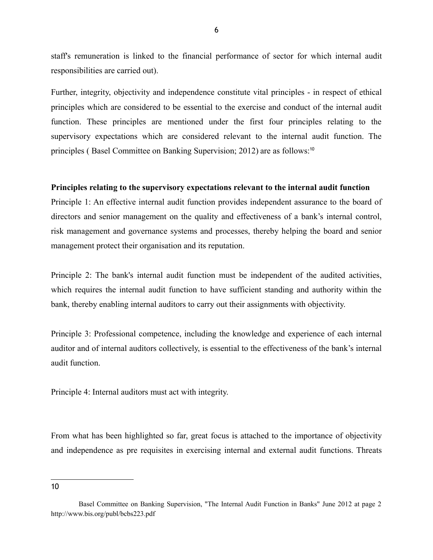staff's remuneration is linked to the financial performance of sector for which internal audit responsibilities are carried out).

Further, integrity, objectivity and independence constitute vital principles - in respect of ethical principles which are considered to be essential to the exercise and conduct of the internal audit function. These principles are mentioned under the first four principles relating to the supervisory expectations which are considered relevant to the internal audit function. The principles ( Basel Committee on Banking Supervision; 2012) are as follows:<sup>10</sup>

#### **Principles relating to the supervisory expectations relevant to the internal audit function**

Principle 1: An effective internal audit function provides independent assurance to the board of directors and senior management on the quality and effectiveness of a bank's internal control, risk management and governance systems and processes, thereby helping the board and senior management protect their organisation and its reputation.

Principle 2: The bank's internal audit function must be independent of the audited activities, which requires the internal audit function to have sufficient standing and authority within the bank, thereby enabling internal auditors to carry out their assignments with objectivity.

Principle 3: Professional competence, including the knowledge and experience of each internal auditor and of internal auditors collectively, is essential to the effectiveness of the bank's internal audit function.

Principle 4: Internal auditors must act with integrity.

From what has been highlighted so far, great focus is attached to the importance of objectivity and independence as pre requisites in exercising internal and external audit functions. Threats

Basel Committee on Banking Supervision, "The Internal Audit Function in Banks" June 2012 at page 2 http://www.bis.org/publ/bcbs223.pdf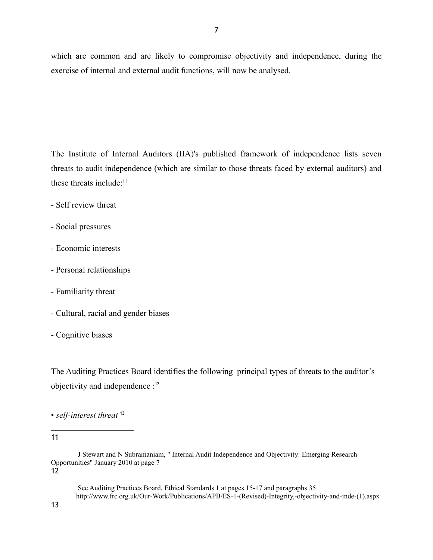which are common and are likely to compromise objectivity and independence, during the exercise of internal and external audit functions, will now be analysed.

The Institute of Internal Auditors (IIA)'s published framework of independence lists seven threats to audit independence (which are similar to those threats faced by external auditors) and these threats include:<sup>11</sup>

- Self review threat
- Social pressures
- Economic interests
- Personal relationships
- Familiarity threat
- Cultural, racial and gender biases
- Cognitive biases

The Auditing Practices Board identifies the following principal types of threats to the auditor's objectivity and independence :<sup>12</sup>

• *self-interest threat* <sup>13</sup>

11

12

13

 See Auditing Practices Board, Ethical Standards 1 at pages 15-17 and paragraphs 35 http://www.frc.org.uk/Our-Work/Publications/APB/ES-1-(Revised)-Integrity,-objectivity-and-inde-(1).aspx

J Stewart and N Subramaniam, " Internal Audit Independence and Objectivity: Emerging Research Opportunities" January 2010 at page 7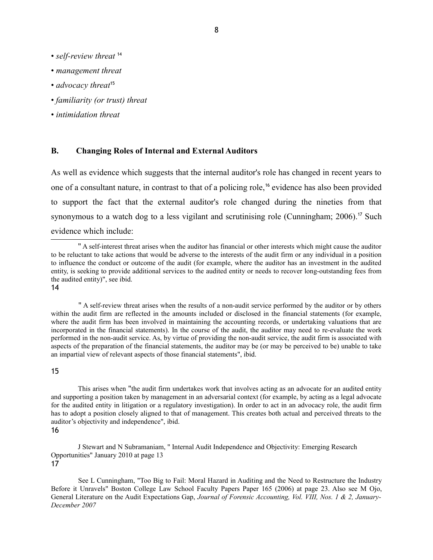- *self-review threat* <sup>14</sup>
- *management threat*
- *advocacy threat*<sup>15</sup>
- *familiarity (or trust) threat*
- *intimidation threat*

#### **B. Changing Roles of Internal and External Auditors**

As well as evidence which suggests that the internal auditor's role has changed in recent years to one of a consultant nature, in contrast to that of a policing role,<sup>16</sup> evidence has also been provided to support the fact that the external auditor's role changed during the nineties from that synonymous to a watch dog to a less vigilant and scrutinising role (Cunningham; 2006).<sup>17</sup> Such evidence which include:

14

 " A self-review threat arises when the results of a non-audit service performed by the auditor or by others within the audit firm are reflected in the amounts included or disclosed in the financial statements (for example, where the audit firm has been involved in maintaining the accounting records, or undertaking valuations that are incorporated in the financial statements). In the course of the audit, the auditor may need to re-evaluate the work performed in the non-audit service. As, by virtue of providing the non-audit service, the audit firm is associated with aspects of the preparation of the financial statements, the auditor may be (or may be perceived to be) unable to take an impartial view of relevant aspects of those financial statements", ibid.

#### 15

 This arises when "the audit firm undertakes work that involves acting as an advocate for an audited entity and supporting a position taken by management in an adversarial context (for example, by acting as a legal advocate for the audited entity in litigation or a regulatory investigation). In order to act in an advocacy role, the audit firm has to adopt a position closely aligned to that of management. This creates both actual and perceived threats to the auditor's objectivity and independence", ibid.

16

 J Stewart and N Subramaniam, " Internal Audit Independence and Objectivity: Emerging Research Opportunities" January 2010 at page 13 17

 See L Cunningham, "Too Big to Fail: Moral Hazard in Auditing and the Need to Restructure the Industry Before it Unravels" Boston College Law School Faculty Papers Paper 165 (2006) at page 23. Also see M Ojo, General Literature on the Audit Expectations Gap, *Journal of Forensic Accounting, Vol. VIII, Nos. 1 & 2, January-December 2007*

 <sup>&</sup>quot; A self-interest threat arises when the auditor has financial or other interests which might cause the auditor to be reluctant to take actions that would be adverse to the interests of the audit firm or any individual in a position to influence the conduct or outcome of the audit (for example, where the auditor has an investment in the audited entity, is seeking to provide additional services to the audited entity or needs to recover long-outstanding fees from the audited entity)", see ibid.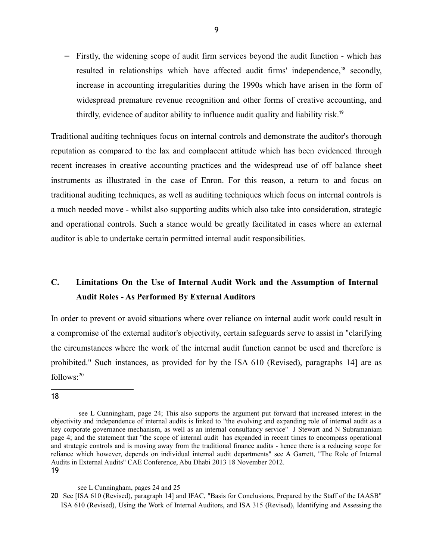− Firstly, the widening scope of audit firm services beyond the audit function - which has resulted in relationships which have affected audit firms' independence,<sup>18</sup> secondly, increase in accounting irregularities during the 1990s which have arisen in the form of widespread premature revenue recognition and other forms of creative accounting, and thirdly, evidence of auditor ability to influence audit quality and liability risk.<sup>19</sup>

Traditional auditing techniques focus on internal controls and demonstrate the auditor's thorough reputation as compared to the lax and complacent attitude which has been evidenced through recent increases in creative accounting practices and the widespread use of off balance sheet instruments as illustrated in the case of Enron. For this reason, a return to and focus on traditional auditing techniques, as well as auditing techniques which focus on internal controls is a much needed move - whilst also supporting audits which also take into consideration, strategic and operational controls. Such a stance would be greatly facilitated in cases where an external auditor is able to undertake certain permitted internal audit responsibilities.

# **C. Limitations On the Use of Internal Audit Work and the Assumption of Internal Audit Roles - As Performed By External Auditors**

In order to prevent or avoid situations where over reliance on internal audit work could result in a compromise of the external auditor's objectivity, certain safeguards serve to assist in "clarifying the circumstances where the work of the internal audit function cannot be used and therefore is prohibited." Such instances, as provided for by the ISA 610 (Revised), paragraphs 14] are as  $follows: <sup>20</sup>$ 

see L Cunningham, page 24; This also supports the argument put forward that increased interest in the objectivity and independence of internal audits is linked to "the evolving and expanding role of internal audit as a key corporate governance mechanism, as well as an internal consultancy service" J Stewart and N Subramaniam page 4; and the statement that "the scope of internal audit has expanded in recent times to encompass operational and strategic controls and is moving away from the traditional finance audits - hence there is a reducing scope for reliance which however, depends on individual internal audit departments" see A Garrett, "The Role of Internal Audits in External Audits" CAE Conference, Abu Dhabi 2013 18 November 2012. 19

see L Cunningham, pages 24 and 25

<sup>20</sup> See [ISA 610 (Revised), paragraph 14] and IFAC, "Basis for Conclusions, Prepared by the Staff of the IAASB" ISA 610 (Revised), Using the Work of Internal Auditors, and ISA 315 (Revised), Identifying and Assessing the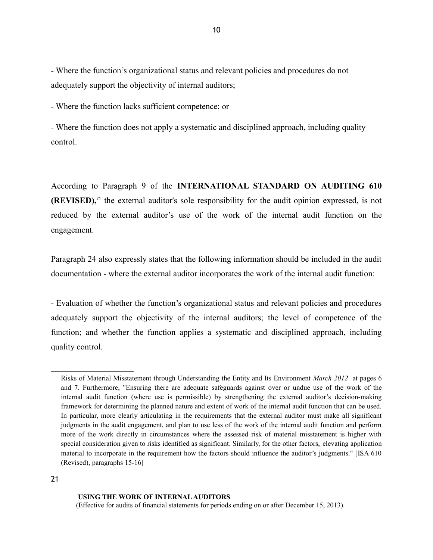- Where the function's organizational status and relevant policies and procedures do not adequately support the objectivity of internal auditors;

- Where the function lacks sufficient competence; or

- Where the function does not apply a systematic and disciplined approach, including quality control.

According to Paragraph 9 of the **INTERNATIONAL STANDARD ON AUDITING 610 (REVISED)**,<sup>21</sup> the external auditor's sole responsibility for the audit opinion expressed, is not reduced by the external auditor's use of the work of the internal audit function on the engagement.

Paragraph 24 also expressly states that the following information should be included in the audit documentation - where the external auditor incorporates the work of the internal audit function:

- Evaluation of whether the function's organizational status and relevant policies and procedures adequately support the objectivity of the internal auditors; the level of competence of the function; and whether the function applies a systematic and disciplined approach, including quality control.

#### **USING THE WORK OF INTERNAL AUDITORS**

(Effective for audits of financial statements for periods ending on or after December 15, 2013).

Risks of Material Misstatement through Understanding the Entity and Its Environment *March 2012* at pages 6 and 7. Furthermore, "Ensuring there are adequate safeguards against over or undue use of the work of the internal audit function (where use is permissible) by strengthening the external auditor's decision-making framework for determining the planned nature and extent of work of the internal audit function that can be used. In particular, more clearly articulating in the requirements that the external auditor must make all significant judgments in the audit engagement, and plan to use less of the work of the internal audit function and perform more of the work directly in circumstances where the assessed risk of material misstatement is higher with special consideration given to risks identified as significant. Similarly, for the other factors, elevating application material to incorporate in the requirement how the factors should influence the auditor's judgments." [ISA 610 (Revised), paragraphs 15-16]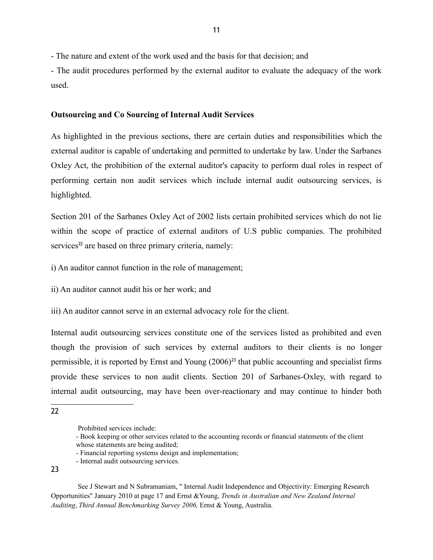- The nature and extent of the work used and the basis for that decision; and

- The audit procedures performed by the external auditor to evaluate the adequacy of the work used.

#### **Outsourcing and Co Sourcing of Internal Audit Services**

As highlighted in the previous sections, there are certain duties and responsibilities which the external auditor is capable of undertaking and permitted to undertake by law. Under the Sarbanes Oxley Act, the prohibition of the external auditor's capacity to perform dual roles in respect of performing certain non audit services which include internal audit outsourcing services, is highlighted.

Section 201 of the Sarbanes Oxley Act of 2002 lists certain prohibited services which do not lie within the scope of practice of external auditors of U.S public companies. The prohibited services<sup> $22$ </sup> are based on three primary criteria, namely:

i) An auditor cannot function in the role of management;

ii) An auditor cannot audit his or her work; and

iii) An auditor cannot serve in an external advocacy role for the client.

Internal audit outsourcing services constitute one of the services listed as prohibited and even though the provision of such services by external auditors to their clients is no longer permissible, it is reported by Ernst and Young  $(2006)^{23}$  that public accounting and specialist firms provide these services to non audit clients. Section 201 of Sarbanes-Oxley, with regard to internal audit outsourcing, may have been over-reactionary and may continue to hinder both

<sup>22</sup>

Prohibited services include:

<sup>-</sup> Book keeping or other services related to the accounting records or financial statements of the client whose statements are being audited;

<sup>-</sup> Financial reporting systems design and implementation;

<sup>-</sup> Internal audit outsourcing services.

See J Stewart and N Subramaniam, " Internal Audit Independence and Objectivity: Emerging Research Opportunities" January 2010 at page 17 and Ernst &Young, *Trends in Australian and New Zealand Internal Auditing*, *Third Annual Benchmarking Survey 2006,* Ernst & Young, Australia.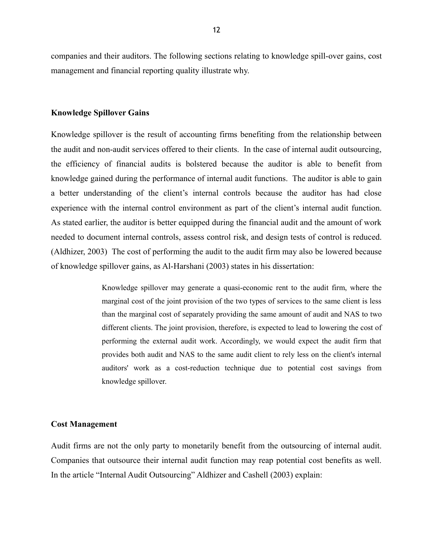companies and their auditors. The following sections relating to knowledge spill-over gains, cost management and financial reporting quality illustrate why.

#### **Knowledge Spillover Gains**

Knowledge spillover is the result of accounting firms benefiting from the relationship between the audit and non-audit services offered to their clients. In the case of internal audit outsourcing, the efficiency of financial audits is bolstered because the auditor is able to benefit from knowledge gained during the performance of internal audit functions. The auditor is able to gain a better understanding of the client's internal controls because the auditor has had close experience with the internal control environment as part of the client's internal audit function. As stated earlier, the auditor is better equipped during the financial audit and the amount of work needed to document internal controls, assess control risk, and design tests of control is reduced. (Aldhizer, 2003) The cost of performing the audit to the audit firm may also be lowered because of knowledge spillover gains, as Al-Harshani (2003) states in his dissertation:

> Knowledge spillover may generate a quasi-economic rent to the audit firm, where the marginal cost of the joint provision of the two types of services to the same client is less than the marginal cost of separately providing the same amount of audit and NAS to two different clients. The joint provision, therefore, is expected to lead to lowering the cost of performing the external audit work. Accordingly, we would expect the audit firm that provides both audit and NAS to the same audit client to rely less on the client's internal auditors' work as a cost-reduction technique due to potential cost savings from knowledge spillover.

#### **Cost Management**

Audit firms are not the only party to monetarily benefit from the outsourcing of internal audit. Companies that outsource their internal audit function may reap potential cost benefits as well. In the article "Internal Audit Outsourcing" Aldhizer and Cashell (2003) explain: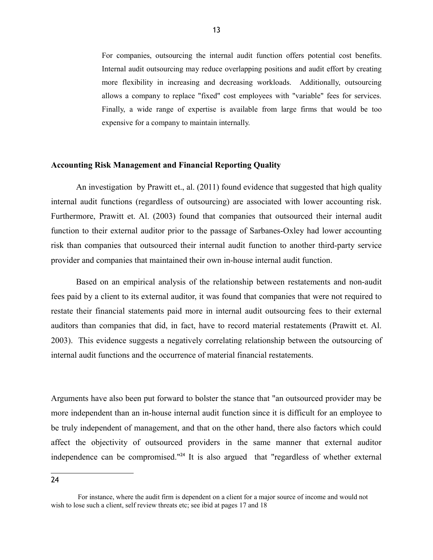For companies, outsourcing the internal audit function offers potential cost benefits. Internal audit outsourcing may reduce overlapping positions and audit effort by creating more flexibility in increasing and decreasing workloads. Additionally, outsourcing allows a company to replace "fixed" cost employees with "variable" fees for services. Finally, a wide range of expertise is available from large firms that would be too expensive for a company to maintain internally.

#### **Accounting Risk Management and Financial Reporting Quality**

An investigation by Prawitt et., al. (2011) found evidence that suggested that high quality internal audit functions (regardless of outsourcing) are associated with lower accounting risk. Furthermore, Prawitt et. Al. (2003) found that companies that outsourced their internal audit function to their external auditor prior to the passage of Sarbanes-Oxley had lower accounting risk than companies that outsourced their internal audit function to another third-party service provider and companies that maintained their own in-house internal audit function.

Based on an empirical analysis of the relationship between restatements and non-audit fees paid by a client to its external auditor, it was found that companies that were not required to restate their financial statements paid more in internal audit outsourcing fees to their external auditors than companies that did, in fact, have to record material restatements (Prawitt et. Al. 2003).This evidence suggests a negatively correlating relationship between the outsourcing of internal audit functions and the occurrence of material financial restatements.

Arguments have also been put forward to bolster the stance that "an outsourced provider may be more independent than an in-house internal audit function since it is difficult for an employee to be truly independent of management, and that on the other hand, there also factors which could affect the objectivity of outsourced providers in the same manner that external auditor independence can be compromised."<sup>24</sup> It is also argued that "regardless of whether external

For instance, where the audit firm is dependent on a client for a major source of income and would not wish to lose such a client, self review threats etc; see ibid at pages 17 and 18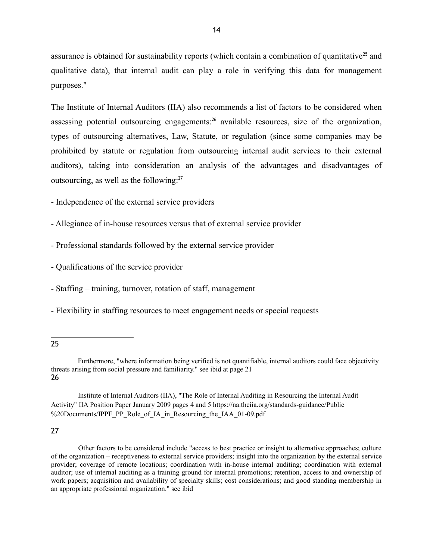assurance is obtained for sustainability reports (which contain a combination of quantitative<sup>25</sup> and qualitative data), that internal audit can play a role in verifying this data for management purposes."

The Institute of Internal Auditors (IIA) also recommends a list of factors to be considered when assessing potential outsourcing engagements:<sup>26</sup> available resources, size of the organization, types of outsourcing alternatives, Law, Statute, or regulation (since some companies may be prohibited by statute or regulation from outsourcing internal audit services to their external auditors), taking into consideration an analysis of the advantages and disadvantages of outsourcing, as well as the following:<sup>27</sup>

- Independence of the external service providers

- Allegiance of in-house resources versus that of external service provider
- Professional standards followed by the external service provider
- Qualifications of the service provider
- Staffing training, turnover, rotation of staff, management
- Flexibility in staffing resources to meet engagement needs or special requests
- 25

Institute of Internal Auditors (IIA), "The Role of Internal Auditing in Resourcing the Internal Audit Activity" IIA Position Paper January 2009 pages 4 and 5 https://na.theiia.org/standards-guidance/Public %20Documents/IPPF\_PP\_Role\_of\_IA\_in\_Resourcing\_the\_IAA\_01-09.pdf

#### 27

Other factors to be considered include "access to best practice or insight to alternative approaches; culture of the organization – receptiveness to external service providers; insight into the organization by the external service provider; coverage of remote locations; coordination with in-house internal auditing; coordination with external auditor; use of internal auditing as a training ground for internal promotions; retention, access to and ownership of work papers; acquisition and availability of specialty skills; cost considerations; and good standing membership in an appropriate professional organization." see ibid

Furthermore, "where information being verified is not quantifiable, internal auditors could face objectivity threats arising from social pressure and familiarity." see ibid at page 21 26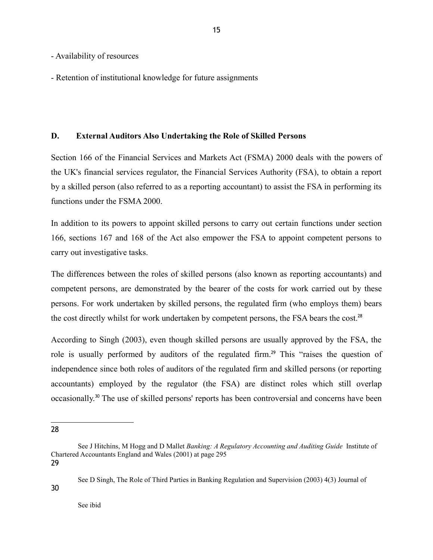- Availability of resources
- Retention of institutional knowledge for future assignments

#### **D. External Auditors Also Undertaking the Role of Skilled Persons**

Section 166 of the Financial Services and Markets Act (FSMA) 2000 deals with the powers of the UK's financial services regulator, the Financial Services Authority (FSA), to obtain a report by a skilled person (also referred to as a reporting accountant) to assist the FSA in performing its functions under the FSMA 2000.

In addition to its powers to appoint skilled persons to carry out certain functions under section 166, sections 167 and 168 of the Act also empower the FSA to appoint competent persons to carry out investigative tasks.

The differences between the roles of skilled persons (also known as reporting accountants) and competent persons, are demonstrated by the bearer of the costs for work carried out by these persons. For work undertaken by skilled persons, the regulated firm (who employs them) bears the cost directly whilst for work undertaken by competent persons, the FSA bears the cost.<sup>28</sup>

According to Singh (2003), even though skilled persons are usually approved by the FSA, the role is usually performed by auditors of the regulated firm.<sup>29</sup> This "raises the question of independence since both roles of auditors of the regulated firm and skilled persons (or reporting accountants) employed by the regulator (the FSA) are distinct roles which still overlap occasionally.<sup>30</sup> The use of skilled persons' reports has been controversial and concerns have been

29

30

See D Singh, The Role of Third Parties in Banking Regulation and Supervision (2003) 4(3) Journal of

<sup>28</sup>

See J Hitchins, M Hogg and D Mallet *Banking: A Regulatory Accounting and Auditing Guide* Institute of Chartered Accountants England and Wales (2001) at page 295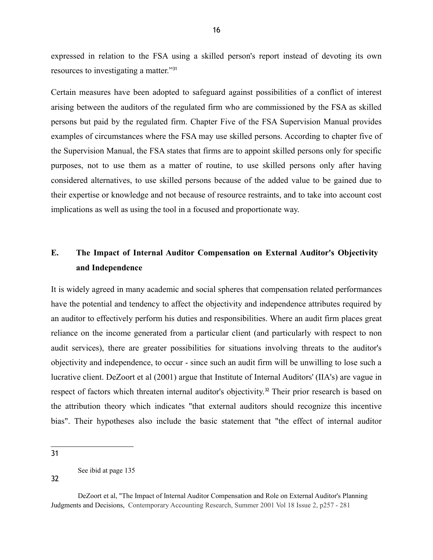expressed in relation to the FSA using a skilled person's report instead of devoting its own resources to investigating a matter."<sup>31</sup>

Certain measures have been adopted to safeguard against possibilities of a conflict of interest arising between the auditors of the regulated firm who are commissioned by the FSA as skilled persons but paid by the regulated firm. Chapter Five of the FSA Supervision Manual provides examples of circumstances where the FSA may use skilled persons. According to chapter five of the Supervision Manual, the FSA states that firms are to appoint skilled persons only for specific purposes, not to use them as a matter of routine, to use skilled persons only after having considered alternatives, to use skilled persons because of the added value to be gained due to their expertise or knowledge and not because of resource restraints, and to take into account cost implications as well as using the tool in a focused and proportionate way.

# **E. The Impact of Internal Auditor Compensation on External Auditor's Objectivity and Independence**

It is widely agreed in many academic and social spheres that compensation related performances have the potential and tendency to affect the objectivity and independence attributes required by an auditor to effectively perform his duties and responsibilities. Where an audit firm places great reliance on the income generated from a particular client (and particularly with respect to non audit services), there are greater possibilities for situations involving threats to the auditor's objectivity and independence, to occur - since such an audit firm will be unwilling to lose such a lucrative client. DeZoort et al (2001) argue that Institute of Internal Auditors' (IIA's) are vague in respect of factors which threaten internal auditor's objectivity.<sup>32</sup> Their prior research is based on the attribution theory which indicates "that external auditors should recognize this incentive bias". Their hypotheses also include the basic statement that "the effect of internal auditor

31

See ibid at page 135

DeZoort et al, "The Impact of Internal Auditor Compensation and Role on External Auditor's Planning Judgments and Decisions, Contemporary Accounting Research, Summer 2001 Vol 18 Issue 2, p257 - 281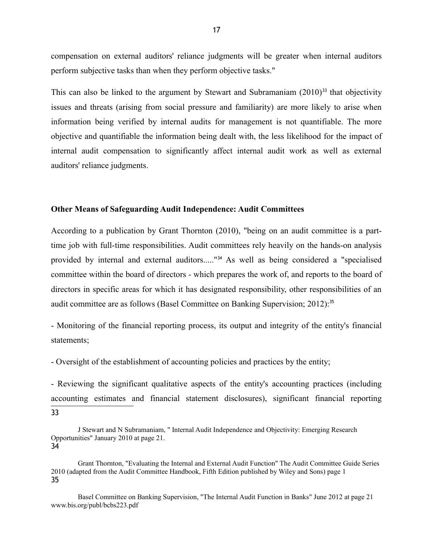compensation on external auditors' reliance judgments will be greater when internal auditors perform subjective tasks than when they perform objective tasks."

This can also be linked to the argument by Stewart and Subramaniam  $(2010)^{33}$  that objectivity issues and threats (arising from social pressure and familiarity) are more likely to arise when information being verified by internal audits for management is not quantifiable. The more objective and quantifiable the information being dealt with, the less likelihood for the impact of internal audit compensation to significantly affect internal audit work as well as external auditors' reliance judgments.

#### **Other Means of Safeguarding Audit Independence: Audit Committees**

According to a publication by Grant Thornton (2010), "being on an audit committee is a parttime job with full-time responsibilities. Audit committees rely heavily on the hands-on analysis provided by internal and external auditors....."<sup>34</sup> As well as being considered a "specialised committee within the board of directors - which prepares the work of, and reports to the board of directors in specific areas for which it has designated responsibility, other responsibilities of an audit committee are as follows (Basel Committee on Banking Supervision; 2012):<sup>35</sup>

- Monitoring of the financial reporting process, its output and integrity of the entity's financial statements;

- Oversight of the establishment of accounting policies and practices by the entity;

- Reviewing the significant qualitative aspects of the entity's accounting practices (including accounting estimates and financial statement disclosures), significant financial reporting 33

J Stewart and N Subramaniam, " Internal Audit Independence and Objectivity: Emerging Research Opportunities" January 2010 at page 21. 34

Grant Thornton, "Evaluating the Internal and External Audit Function" The Audit Committee Guide Series 2010 (adapted from the Audit Committee Handbook, Fifth Edition published by Wiley and Sons) page 1 35

Basel Committee on Banking Supervision, "The Internal Audit Function in Banks" June 2012 at page 21 www.bis.org/publ/bcbs223.pdf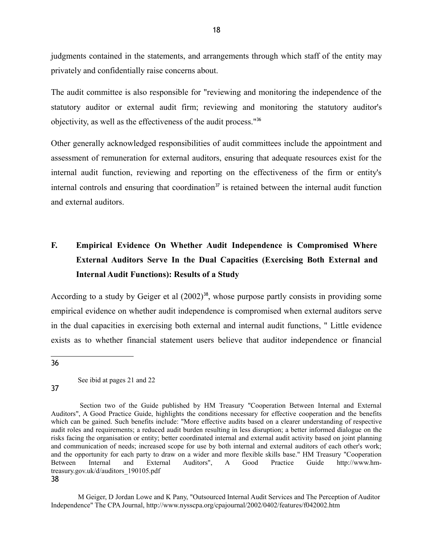judgments contained in the statements, and arrangements through which staff of the entity may privately and confidentially raise concerns about.

The audit committee is also responsible for "reviewing and monitoring the independence of the statutory auditor or external audit firm; reviewing and monitoring the statutory auditor's objectivity, as well as the effectiveness of the audit process."<sup>36</sup>

Other generally acknowledged responsibilities of audit committees include the appointment and assessment of remuneration for external auditors, ensuring that adequate resources exist for the internal audit function, reviewing and reporting on the effectiveness of the firm or entity's internal controls and ensuring that coordination<sup>37</sup> is retained between the internal audit function and external auditors.

# **F. Empirical Evidence On Whether Audit Independence is Compromised Where External Auditors Serve In the Dual Capacities (Exercising Both External and Internal Audit Functions): Results of a Study**

According to a study by Geiger et al  $(2002)^{38}$ , whose purpose partly consists in providing some empirical evidence on whether audit independence is compromised when external auditors serve in the dual capacities in exercising both external and internal audit functions, " Little evidence exists as to whether financial statement users believe that auditor independence or financial

36

See ibid at pages 21 and 22

37

 Section two of the Guide published by HM Treasury "Cooperation Between Internal and External Auditors", A Good Practice Guide, highlights the conditions necessary for effective cooperation and the benefits which can be gained. Such benefits include: "More effective audits based on a clearer understanding of respective audit roles and requirements; a reduced audit burden resulting in less disruption; a better informed dialogue on the risks facing the organisation or entity; better coordinated internal and external audit activity based on joint planning and communication of needs; increased scope for use by both internal and external auditors of each other's work; and the opportunity for each party to draw on a wider and more flexible skills base." HM Treasury "Cooperation<br>Between Internal and External Auditors", A Good Practice Guide http://www.hm-Between Internal and External Auditors", A Good Practice Guide http://www.hmtreasury.gov.uk/d/auditors\_190105.pdf 38

M Geiger, D Jordan Lowe and K Pany, "Outsourced Internal Audit Services and The Perception of Auditor Independence" The CPA Journal, http://www.nysscpa.org/cpajournal/2002/0402/features/f042002.htm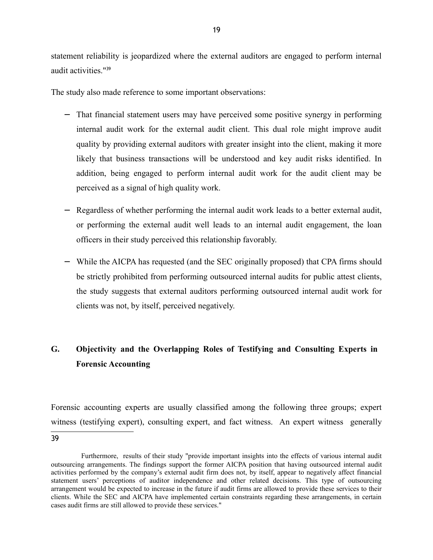statement reliability is jeopardized where the external auditors are engaged to perform internal audit activities."<sup>39</sup>

The study also made reference to some important observations:

- − That financial statement users may have perceived some positive synergy in performing internal audit work for the external audit client. This dual role might improve audit quality by providing external auditors with greater insight into the client, making it more likely that business transactions will be understood and key audit risks identified. In addition, being engaged to perform internal audit work for the audit client may be perceived as a signal of high quality work.
- − Regardless of whether performing the internal audit work leads to a better external audit, or performing the external audit well leads to an internal audit engagement, the loan officers in their study perceived this relationship favorably.
- − While the AICPA has requested (and the SEC originally proposed) that CPA firms should be strictly prohibited from performing outsourced internal audits for public attest clients, the study suggests that external auditors performing outsourced internal audit work for clients was not, by itself, perceived negatively.

# **G. Objectivity and the Overlapping Roles of Testifying and Consulting Experts in Forensic Accounting**

Forensic accounting experts are usually classified among the following three groups; expert witness (testifying expert), consulting expert, and fact witness. An expert witness generally 39

Furthermore, results of their study "provide important insights into the effects of various internal audit outsourcing arrangements. The findings support the former AICPA position that having outsourced internal audit activities performed by the company's external audit firm does not, by itself, appear to negatively affect financial statement users' perceptions of auditor independence and other related decisions. This type of outsourcing arrangement would be expected to increase in the future if audit firms are allowed to provide these services to their clients. While the SEC and AICPA have implemented certain constraints regarding these arrangements, in certain cases audit firms are still allowed to provide these services."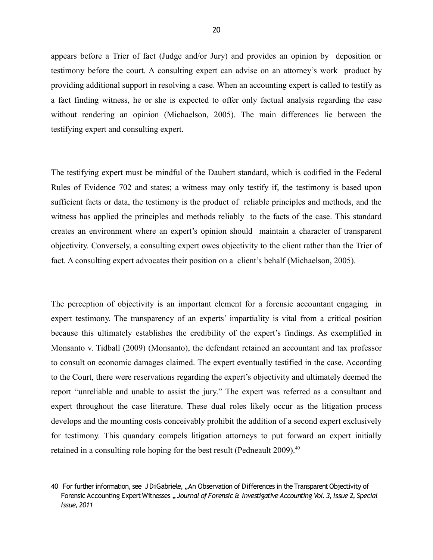appears before a Trier of fact (Judge and/or Jury) and provides an opinion by deposition or testimony before the court. A consulting expert can advise on an attorney's work product by providing additional support in resolving a case. When an accounting expert is called to testify as a fact finding witness, he or she is expected to offer only factual analysis regarding the case without rendering an opinion (Michaelson, 2005). The main differences lie between the testifying expert and consulting expert.

The testifying expert must be mindful of the Daubert standard, which is codified in the Federal Rules of Evidence 702 and states; a witness may only testify if, the testimony is based upon sufficient facts or data, the testimony is the product of reliable principles and methods, and the witness has applied the principles and methods reliably to the facts of the case. This standard creates an environment where an expert's opinion should maintain a character of transparent objectivity. Conversely, a consulting expert owes objectivity to the client rather than the Trier of fact. A consulting expert advocates their position on a client's behalf (Michaelson, 2005).

The perception of objectivity is an important element for a forensic accountant engaging in expert testimony. The transparency of an experts' impartiality is vital from a critical position because this ultimately establishes the credibility of the expert's findings. As exemplified in Monsanto v. Tidball (2009) (Monsanto), the defendant retained an accountant and tax professor to consult on economic damages claimed. The expert eventually testified in the case. According to the Court, there were reservations regarding the expert's objectivity and ultimately deemed the report "unreliable and unable to assist the jury." The expert was referred as a consultant and expert throughout the case literature. These dual roles likely occur as the litigation process develops and the mounting costs conceivably prohibit the addition of a second expert exclusively for testimony. This quandary compels litigation attorneys to put forward an expert initially retained in a consulting role hoping for the best result (Pedneault 2009).<sup>40</sup>

<sup>40</sup> For further information, see J DiGabriele, "An Observation of Differences in the Transparent Objectivity of Forensic Accounting Expert Witnesses .. Journal of Forensic & Investigative Accounting Vol. 3, Issue 2, Special *Issue, 2011*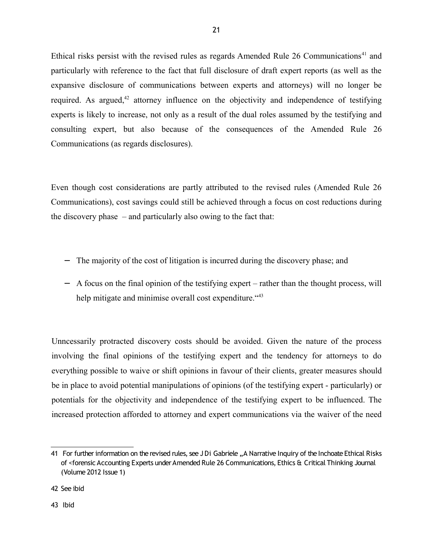Ethical risks persist with the revised rules as regards Amended Rule  $26$  Communications<sup>41</sup> and particularly with reference to the fact that full disclosure of draft expert reports (as well as the expansive disclosure of communications between experts and attorneys) will no longer be required. As argued, $42$  attorney influence on the objectivity and independence of testifying experts is likely to increase, not only as a result of the dual roles assumed by the testifying and consulting expert, but also because of the consequences of the Amended Rule 26 Communications (as regards disclosures).

21

Even though cost considerations are partly attributed to the revised rules (Amended Rule 26 Communications), cost savings could still be achieved through a focus on cost reductions during the discovery phase – and particularly also owing to the fact that:

- − The majority of the cost of litigation is incurred during the discovery phase; and
- − A focus on the final opinion of the testifying expert rather than the thought process, will help mitigate and minimise overall cost expenditure. "43

Unncessarily protracted discovery costs should be avoided. Given the nature of the process involving the final opinions of the testifying expert and the tendency for attorneys to do everything possible to waive or shift opinions in favour of their clients, greater measures should be in place to avoid potential manipulations of opinions (of the testifying expert - particularly) or potentials for the objectivity and independence of the testifying expert to be influenced. The increased protection afforded to attorney and expert communications via the waiver of the need

<sup>41</sup> For further information on the revised rules, see J Di Gabriele "A Narrative Inquiry of the Inchoate Ethical Risks of <forensic Accounting Experts under Amended Rule 26 Communications, Ethics & Critical Thinking Journal (Volume 2012 Issue 1)

<sup>42</sup> See ibid

<sup>43</sup> Ibid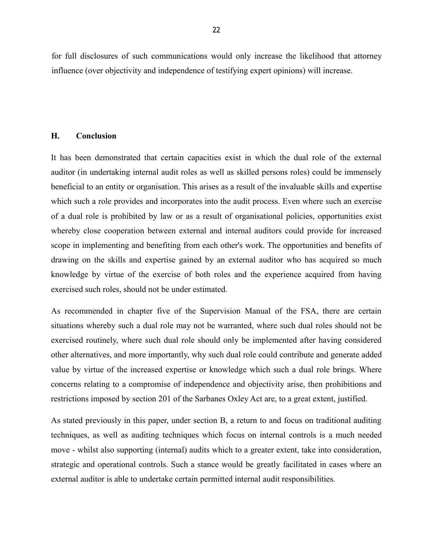for full disclosures of such communications would only increase the likelihood that attorney influence (over objectivity and independence of testifying expert opinions) will increase.

#### **H. Conclusion**

It has been demonstrated that certain capacities exist in which the dual role of the external auditor (in undertaking internal audit roles as well as skilled persons roles) could be immensely beneficial to an entity or organisation. This arises as a result of the invaluable skills and expertise which such a role provides and incorporates into the audit process. Even where such an exercise of a dual role is prohibited by law or as a result of organisational policies, opportunities exist whereby close cooperation between external and internal auditors could provide for increased scope in implementing and benefiting from each other's work. The opportunities and benefits of drawing on the skills and expertise gained by an external auditor who has acquired so much knowledge by virtue of the exercise of both roles and the experience acquired from having exercised such roles, should not be under estimated.

As recommended in chapter five of the Supervision Manual of the FSA, there are certain situations whereby such a dual role may not be warranted, where such dual roles should not be exercised routinely, where such dual role should only be implemented after having considered other alternatives, and more importantly, why such dual role could contribute and generate added value by virtue of the increased expertise or knowledge which such a dual role brings. Where concerns relating to a compromise of independence and objectivity arise, then prohibitions and restrictions imposed by section 201 of the Sarbanes Oxley Act are, to a great extent, justified.

As stated previously in this paper, under section B, a return to and focus on traditional auditing techniques, as well as auditing techniques which focus on internal controls is a much needed move - whilst also supporting (internal) audits which to a greater extent, take into consideration, strategic and operational controls. Such a stance would be greatly facilitated in cases where an external auditor is able to undertake certain permitted internal audit responsibilities.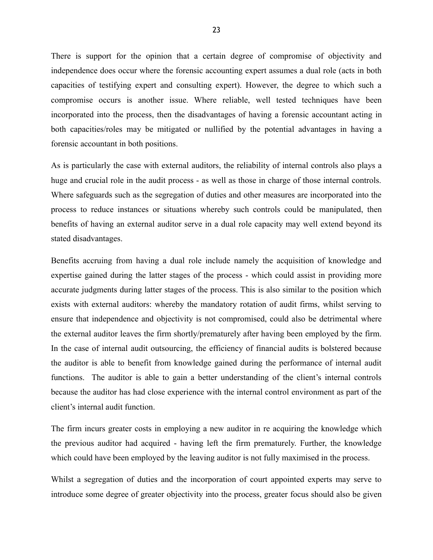There is support for the opinion that a certain degree of compromise of objectivity and independence does occur where the forensic accounting expert assumes a dual role (acts in both capacities of testifying expert and consulting expert). However, the degree to which such a compromise occurs is another issue. Where reliable, well tested techniques have been incorporated into the process, then the disadvantages of having a forensic accountant acting in both capacities/roles may be mitigated or nullified by the potential advantages in having a forensic accountant in both positions.

As is particularly the case with external auditors, the reliability of internal controls also plays a huge and crucial role in the audit process - as well as those in charge of those internal controls. Where safeguards such as the segregation of duties and other measures are incorporated into the process to reduce instances or situations whereby such controls could be manipulated, then benefits of having an external auditor serve in a dual role capacity may well extend beyond its stated disadvantages.

Benefits accruing from having a dual role include namely the acquisition of knowledge and expertise gained during the latter stages of the process - which could assist in providing more accurate judgments during latter stages of the process. This is also similar to the position which exists with external auditors: whereby the mandatory rotation of audit firms, whilst serving to ensure that independence and objectivity is not compromised, could also be detrimental where the external auditor leaves the firm shortly/prematurely after having been employed by the firm. In the case of internal audit outsourcing, the efficiency of financial audits is bolstered because the auditor is able to benefit from knowledge gained during the performance of internal audit functions. The auditor is able to gain a better understanding of the client's internal controls because the auditor has had close experience with the internal control environment as part of the client's internal audit function.

The firm incurs greater costs in employing a new auditor in re acquiring the knowledge which the previous auditor had acquired - having left the firm prematurely. Further, the knowledge which could have been employed by the leaving auditor is not fully maximised in the process.

Whilst a segregation of duties and the incorporation of court appointed experts may serve to introduce some degree of greater objectivity into the process, greater focus should also be given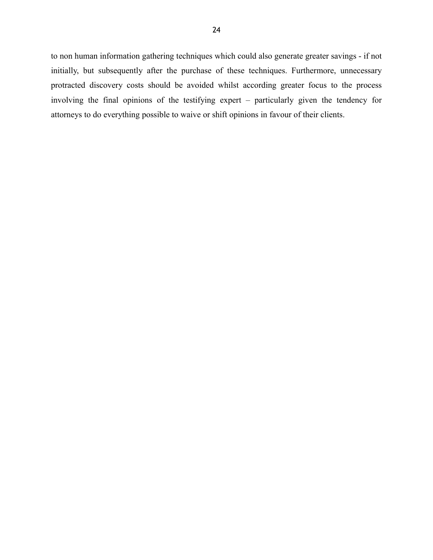to non human information gathering techniques which could also generate greater savings - if not initially, but subsequently after the purchase of these techniques. Furthermore, unnecessary protracted discovery costs should be avoided whilst according greater focus to the process involving the final opinions of the testifying expert – particularly given the tendency for attorneys to do everything possible to waive or shift opinions in favour of their clients.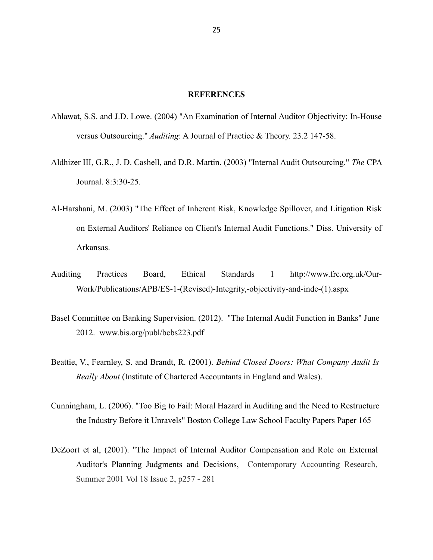#### **REFERENCES**

- Ahlawat, S.S. and J.D. Lowe. (2004) "An Examination of Internal Auditor Objectivity: In-House versus Outsourcing." *Auditing*: A Journal of Practice & Theory. 23.2 147-58.
- Aldhizer III, G.R., J. D. Cashell, and D.R. Martin. (2003) "Internal Audit Outsourcing." *The* CPA Journal. 8:3:30-25.
- Al-Harshani, M. (2003) "The Effect of Inherent Risk, Knowledge Spillover, and Litigation Risk on External Auditors' Reliance on Client's Internal Audit Functions." Diss. University of Arkansas.
- Auditing Practices Board, Ethical Standards 1 http://www.frc.org.uk/Our-Work/Publications/APB/ES-1-(Revised)-Integrity,-objectivity-and-inde-(1).aspx
- Basel Committee on Banking Supervision. (2012). "The Internal Audit Function in Banks" June 2012. www.bis.org/publ/bcbs223.pdf
- Beattie, V., Fearnley, S. and Brandt, R. (2001). *Behind Closed Doors: What Company Audit Is Really About* (Institute of Chartered Accountants in England and Wales).
- Cunningham, L. (2006). "Too Big to Fail: Moral Hazard in Auditing and the Need to Restructure the Industry Before it Unravels" Boston College Law School Faculty Papers Paper 165
- DeZoort et al, (2001). "The Impact of Internal Auditor Compensation and Role on External Auditor's Planning Judgments and Decisions, Contemporary Accounting Research, Summer 2001 Vol 18 Issue 2, p257 - 281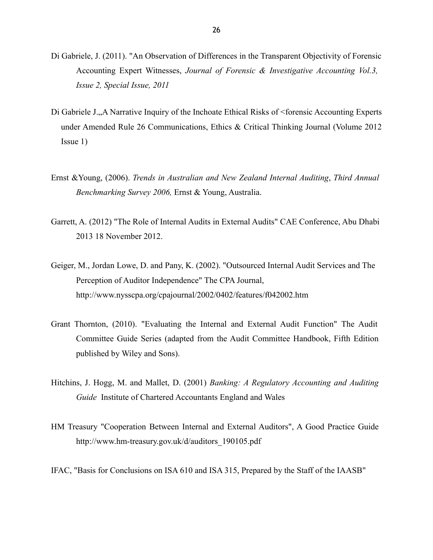- Di Gabriele, J. (2011). "An Observation of Differences in the Transparent Objectivity of Forensic Accounting Expert Witnesses, *Journal of Forensic & Investigative Accounting Vol.3, Issue 2, Special Issue, 2011*
- Di Gabriele J., A Narrative Inquiry of the Inchoate Ethical Risks of <forensic Accounting Experts under Amended Rule 26 Communications, Ethics & Critical Thinking Journal (Volume 2012 Issue 1)
- Ernst &Young, (2006). *Trends in Australian and New Zealand Internal Auditing*, *Third Annual Benchmarking Survey 2006,* Ernst & Young, Australia.
- Garrett, A. (2012) "The Role of Internal Audits in External Audits" CAE Conference, Abu Dhabi 2013 18 November 2012.
- Geiger, M., Jordan Lowe, D. and Pany, K. (2002). "Outsourced Internal Audit Services and The Perception of Auditor Independence" The CPA Journal, http://www.nysscpa.org/cpajournal/2002/0402/features/f042002.htm
- Grant Thornton, (2010). "Evaluating the Internal and External Audit Function" The Audit Committee Guide Series (adapted from the Audit Committee Handbook, Fifth Edition published by Wiley and Sons).
- Hitchins, J. Hogg, M. and Mallet, D. (2001) *Banking: A Regulatory Accounting and Auditing Guide* Institute of Chartered Accountants England and Wales
- HM Treasury "Cooperation Between Internal and External Auditors", A Good Practice Guide http://www.hm-treasury.gov.uk/d/auditors\_190105.pdf
- IFAC, "Basis for Conclusions on ISA 610 and ISA 315, Prepared by the Staff of the IAASB"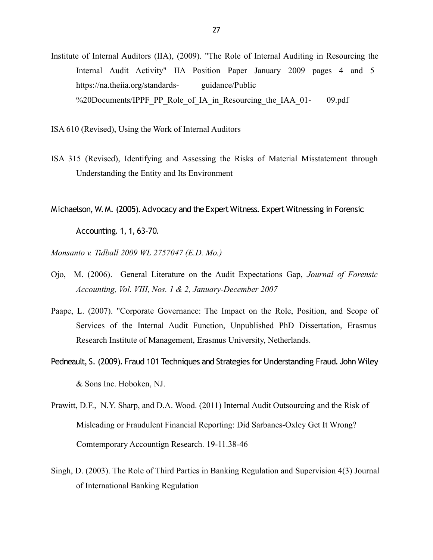- Institute of Internal Auditors (IIA), (2009). "The Role of Internal Auditing in Resourcing the Internal Audit Activity" IIA Position Paper January 2009 pages 4 and 5 https://na.theiia.org/standards- guidance/Public %20Documents/IPPF\_PP\_Role\_of\_IA\_in\_Resourcing\_the\_IAA\_01- 09.pdf
- ISA 610 (Revised), Using the Work of Internal Auditors
- ISA 315 (Revised), Identifying and Assessing the Risks of Material Misstatement through Understanding the Entity and Its Environment
- Michaelson, W.M. (2005). Advocacy and the Expert Witness. Expert Witnessing in Forensic

Accounting. 1, 1, 63-70.

*Monsanto v. Tidball 2009 WL 2757047 (E.D. Mo.)*

- Ojo, M. (2006). General Literature on the Audit Expectations Gap, *Journal of Forensic Accounting, Vol. VIII, Nos. 1 & 2, January-December 2007*
- Paape, L. (2007). "Corporate Governance: The Impact on the Role, Position, and Scope of Services of the Internal Audit Function, Unpublished PhD Dissertation, Erasmus Research Institute of Management, Erasmus University, Netherlands.
- Pedneault, S. (2009). Fraud 101 Techniques and Strategies for Understanding Fraud. John Wiley & Sons Inc. Hoboken, NJ.
- Prawitt, D.F., N.Y. Sharp, and D.A. Wood. (2011) Internal Audit Outsourcing and the Risk of Misleading or Fraudulent Financial Reporting: Did Sarbanes-Oxley Get It Wrong? Comtemporary Accountign Research. 19-11.38-46
- Singh, D. (2003). The Role of Third Parties in Banking Regulation and Supervision 4(3) Journal of International Banking Regulation